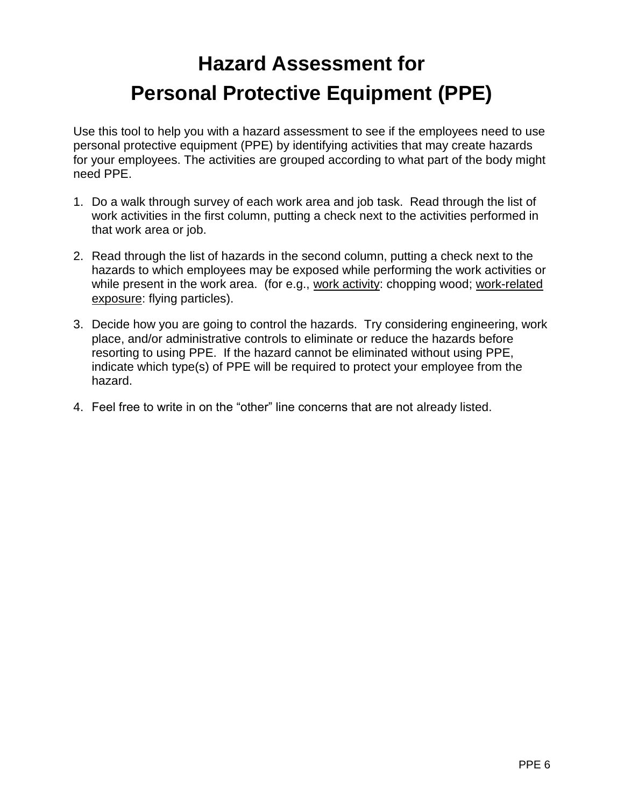## **Hazard Assessment for Personal Protective Equipment (PPE)**

Use this tool to help you with a hazard assessment to see if the employees need to use personal protective equipment (PPE) by identifying activities that may create hazards for your employees. The activities are grouped according to what part of the body might need PPE.

- 1. Do a walk through survey of each work area and job task. Read through the list of work activities in the first column, putting a check next to the activities performed in that work area or job.
- 2. Read through the list of hazards in the second column, putting a check next to the hazards to which employees may be exposed while performing the work activities or while present in the work area. (for e.g., work activity: chopping wood; work-related exposure: flying particles).
- 3. Decide how you are going to control the hazards. Try considering engineering, work place, and/or administrative controls to eliminate or reduce the hazards before resorting to using PPE. If the hazard cannot be eliminated without using PPE, indicate which type(s) of PPE will be required to protect your employee from the hazard.
- 4. Feel free to write in on the "other" line concerns that are not already listed.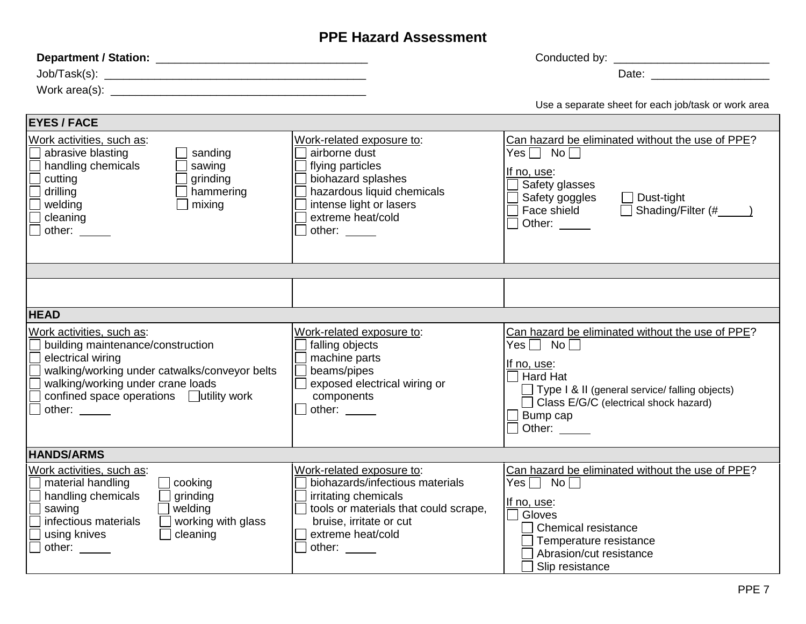## **PPE Hazard Assessment**

| Work area(s): North and South Area (s) and Area (s) and Area (s) and Area (s) and Area (s) and Area (s) and Area (s) and Area (s) and Area (s) and Area (s) and Area (s) and Area (s) and Area (s) and Area (s) and Area (s) a                      |                                                                                                                                                                                         | Date: <u>____________________</u>                                                                                                                                                                                                      |  |  |
|-----------------------------------------------------------------------------------------------------------------------------------------------------------------------------------------------------------------------------------------------------|-----------------------------------------------------------------------------------------------------------------------------------------------------------------------------------------|----------------------------------------------------------------------------------------------------------------------------------------------------------------------------------------------------------------------------------------|--|--|
|                                                                                                                                                                                                                                                     |                                                                                                                                                                                         | Use a separate sheet for each job/task or work area                                                                                                                                                                                    |  |  |
| <b>EYES / FACE</b>                                                                                                                                                                                                                                  |                                                                                                                                                                                         |                                                                                                                                                                                                                                        |  |  |
| Work activities, such as:<br>abrasive blasting<br>sanding<br>handling chemicals<br>sawing<br>cutting<br>grinding<br>hammering<br>drilling<br>mixing<br>welding<br>cleaning<br>other:                                                                | Work-related exposure to:<br>airborne dust<br>flying particles<br>biohazard splashes<br>hazardous liquid chemicals<br>intense light or lasers<br>extreme heat/cold<br>other:            | Can hazard be eliminated without the use of PPE?<br>Yes $\Box$ No $\Box$<br>If no, use:<br>Safety glasses<br>Safety goggles<br>$\Box$ Dust-tight<br>Face shield<br>Other: $\_\_$                                                       |  |  |
|                                                                                                                                                                                                                                                     |                                                                                                                                                                                         |                                                                                                                                                                                                                                        |  |  |
|                                                                                                                                                                                                                                                     |                                                                                                                                                                                         |                                                                                                                                                                                                                                        |  |  |
| <b>HEAD</b>                                                                                                                                                                                                                                         |                                                                                                                                                                                         |                                                                                                                                                                                                                                        |  |  |
| Work activities, such as:<br>building maintenance/construction<br>$\Box$<br>electrical wiring<br>$\Box$<br>walking/working under catwalks/conveyor belts<br>walking/working under crane loads<br>confined space operations □ utility work<br>other: | Work-related exposure to:<br>falling objects<br>machine parts<br>beams/pipes<br>exposed electrical wiring or<br>components<br>other: $\Box$                                             | Can hazard be eliminated without the use of PPE?<br>$Yes \sqcap$ No $\sqcap$<br><u>If no, use:</u><br>Hard Hat<br>$\Box$ Type I & II (general service/ falling objects)<br>Class E/G/C (electrical shock hazard)<br>Bump cap<br>Other: |  |  |
| <b>HANDS/ARMS</b>                                                                                                                                                                                                                                   |                                                                                                                                                                                         |                                                                                                                                                                                                                                        |  |  |
| Work activities, such as:<br>material handling<br>$\Box$ cooking<br>handling chemicals<br>$\Box$ grinding<br>welding<br>sawing<br>infectious materials<br>$\Box$ working with glass<br>cleaning<br>using knives<br>$\Box$<br>other:                 | Work-related exposure to:<br>biohazards/infectious materials<br>irritating chemicals<br>tools or materials that could scrape,<br>bruise, irritate or cut<br>extreme heat/cold<br>other: | Can hazard be eliminated without the use of PPE?<br>Yes $\Box$ No $\Box$<br>If no, use:<br>Gloves<br>$\sqsupset$ Chemical resistance<br>Temperature resistance<br>Abrasion/cut resistance<br>Slip resistance                           |  |  |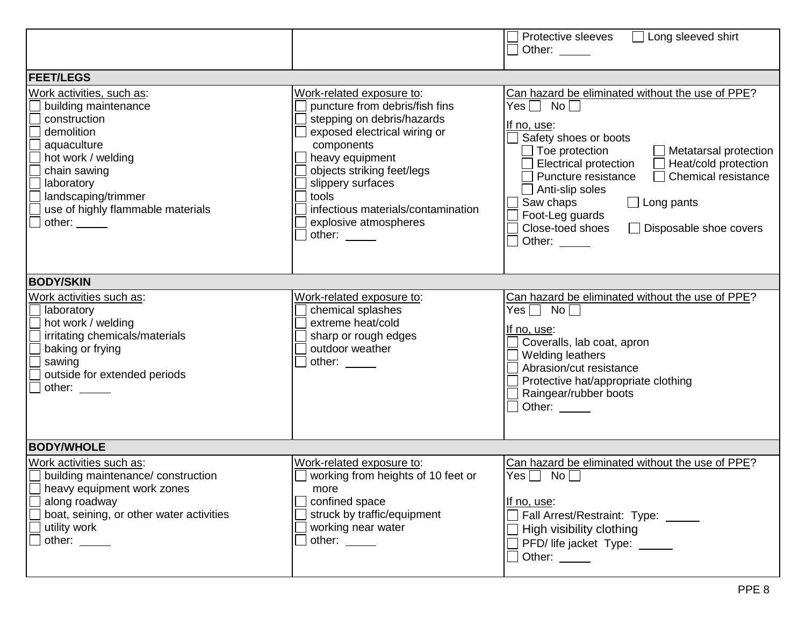|                                                                                                                                                                                                                                 |                                                                                                                                                                                                                                                                                                        | Protective sleeves<br>$\Box$ Long sleeved shirt<br>Other:                                                                                                                                                                                                                                                                                                                                                     |  |  |
|---------------------------------------------------------------------------------------------------------------------------------------------------------------------------------------------------------------------------------|--------------------------------------------------------------------------------------------------------------------------------------------------------------------------------------------------------------------------------------------------------------------------------------------------------|---------------------------------------------------------------------------------------------------------------------------------------------------------------------------------------------------------------------------------------------------------------------------------------------------------------------------------------------------------------------------------------------------------------|--|--|
| <b>FEET/LEGS</b>                                                                                                                                                                                                                |                                                                                                                                                                                                                                                                                                        |                                                                                                                                                                                                                                                                                                                                                                                                               |  |  |
| Work activities, such as:<br>building maintenance<br>construction<br>demolition<br>aquaculture<br>hot work / welding<br>chain sawing<br>laboratory<br>landscaping/trimmer<br>use of highly flammable materials<br>other: $\_\_$ | Work-related exposure to:<br>puncture from debris/fish fins<br>stepping on debris/hazards<br>exposed electrical wiring or<br>components<br>heavy equipment<br>objects striking feet/legs<br>slippery surfaces<br>tools<br>infectious materials/contamination<br>explosive atmospheres<br>other: $\_\_$ | Can hazard be eliminated without the use of PPE?<br>$Yes \Box No \Box$<br>If no, use:<br>Safety shoes or boots<br>Toe protection<br>Metatarsal protection<br><b>Electrical protection</b><br>Heat/cold protection<br>Chemical resistance<br>Puncture resistance<br>$\Box$ Anti-slip soles<br>Saw chaps<br>$\Box$ Long pants<br>Foot-Leg guards<br>Close-toed shoes<br>$\Box$ Disposable shoe covers<br>Other: |  |  |
| <b>BODY/SKIN</b>                                                                                                                                                                                                                |                                                                                                                                                                                                                                                                                                        |                                                                                                                                                                                                                                                                                                                                                                                                               |  |  |
| Work activities such as:<br>laboratory<br>hot work / welding<br>irritating chemicals/materials<br>baking or frying<br>sawing<br>outside for extended periods<br>other:                                                          | Work-related exposure to:<br>chemical splashes<br>extreme heat/cold<br>sharp or rough edges<br>outdoor weather<br>other: $\_\_$                                                                                                                                                                        | Can hazard be eliminated without the use of PPE?<br>$Yes \Box No \Box$<br>If no, use:<br>Coveralls, lab coat, apron<br>Welding leathers<br>Abrasion/cut resistance<br>Protective hat/appropriate clothing<br>Raingear/rubber boots<br>Other:                                                                                                                                                                  |  |  |
| <b>BODY/WHOLE</b>                                                                                                                                                                                                               |                                                                                                                                                                                                                                                                                                        |                                                                                                                                                                                                                                                                                                                                                                                                               |  |  |
| Work activities such as:<br>building maintenance/construction<br>heavy equipment work zones<br>along roadway<br>boat, seining, or other water activities<br>utility work<br>other: $\_\_$                                       | Work-related exposure to:<br>working from heights of 10 feet or<br>more<br>confined space<br>struck by traffic/equipment<br>working near water<br>other: $\_\_$                                                                                                                                        | Can hazard be eliminated without the use of PPE?<br>$Yes \Box No \Box$<br>If no, use:<br>Fall Arrest/Restraint: Type: \[\]<br>High visibility clothing<br>PFD/ life jacket Type: _____<br>Other: _____                                                                                                                                                                                                        |  |  |